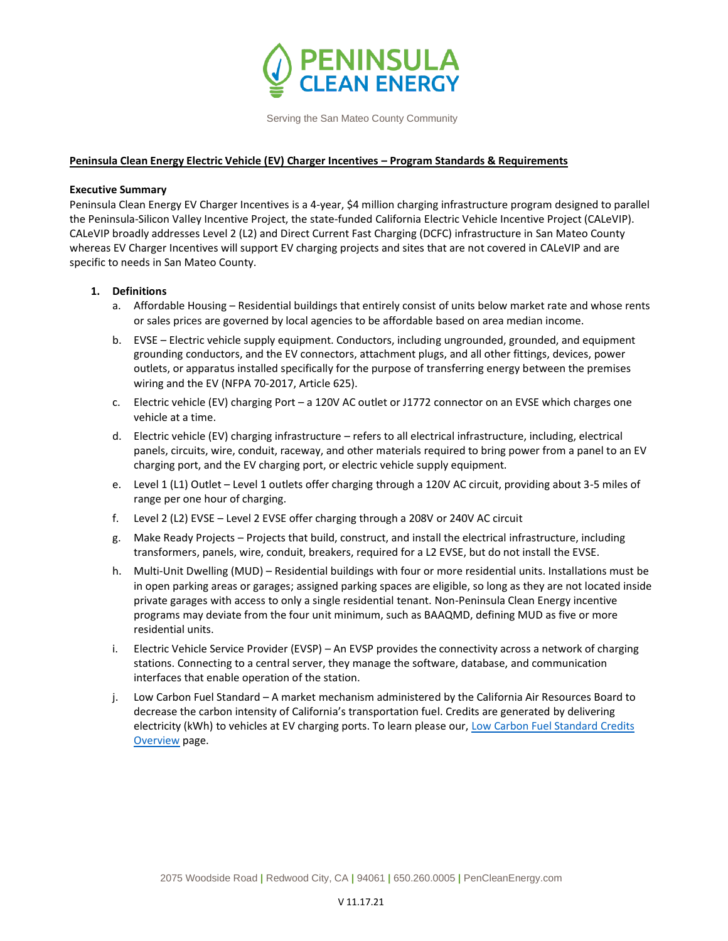

Serving the San Mateo County Community

# **Peninsula Clean Energy Electric Vehicle (EV) Charger Incentives – Program Standards & Requirements**

# **Executive Summary**

Peninsula Clean Energy EV Charger Incentives is a 4-year, \$4 million charging infrastructure program designed to parallel the Peninsula-Silicon Valley Incentive Project, the state-funded California Electric Vehicle Incentive Project (CALeVIP). CALeVIP broadly addresses Level 2 (L2) and Direct Current Fast Charging (DCFC) infrastructure in San Mateo County whereas EV Charger Incentives will support EV charging projects and sites that are not covered in CALeVIP and are specific to needs in San Mateo County.

# **1. Definitions**

- a. Affordable Housing Residential buildings that entirely consist of units below market rate and whose rents or sales prices are governed by local agencies to be affordable based on area median income.
- b. EVSE Electric vehicle supply equipment. Conductors, including ungrounded, grounded, and equipment grounding conductors, and the EV connectors, attachment plugs, and all other fittings, devices, power outlets, or apparatus installed specifically for the purpose of transferring energy between the premises wiring and the EV (NFPA 70-2017, Article 625).
- c. Electric vehicle (EV) charging Port a 120V AC outlet or J1772 connector on an EVSE which charges one vehicle at a time.
- d. Electric vehicle (EV) charging infrastructure refers to all electrical infrastructure, including, electrical panels, circuits, wire, conduit, raceway, and other materials required to bring power from a panel to an EV charging port, and the EV charging port, or electric vehicle supply equipment.
- e. Level 1 (L1) Outlet Level 1 outlets offer charging through a 120V AC circuit, providing about 3-5 miles of range per one hour of charging.
- f. Level 2 (L2) EVSE Level 2 EVSE offer charging through a 208V or 240V AC circuit
- g. Make Ready Projects Projects that build, construct, and install the electrical infrastructure, including transformers, panels, wire, conduit, breakers, required for a L2 EVSE, but do not install the EVSE.
- h. Multi-Unit Dwelling (MUD) Residential buildings with four or more residential units. Installations must be in open parking areas or garages; assigned parking spaces are eligible, so long as they are not located inside private garages with access to only a single residential tenant. Non-Peninsula Clean Energy incentive programs may deviate from the four unit minimum, such as BAAQMD, defining MUD as five or more residential units.
- i. Electric Vehicle Service Provider (EVSP) An EVSP provides the connectivity across a network of charging stations. Connecting to a central server, they manage the software, database, and communication interfaces that enable operation of the station.
- j. Low Carbon Fuel Standard A market mechanism administered by the California Air Resources Board to decrease the carbon intensity of California's transportation fuel. Credits are generated by delivering electricity (kWh) to vehicles at EV charging ports. To learn please our[, Low Carbon Fuel Standard Credits](https://www.peninsulacleanenergy.com/low-carbon-fuel-standard-credits-overview-lcfs/)  [Overview](https://www.peninsulacleanenergy.com/low-carbon-fuel-standard-credits-overview-lcfs/) page.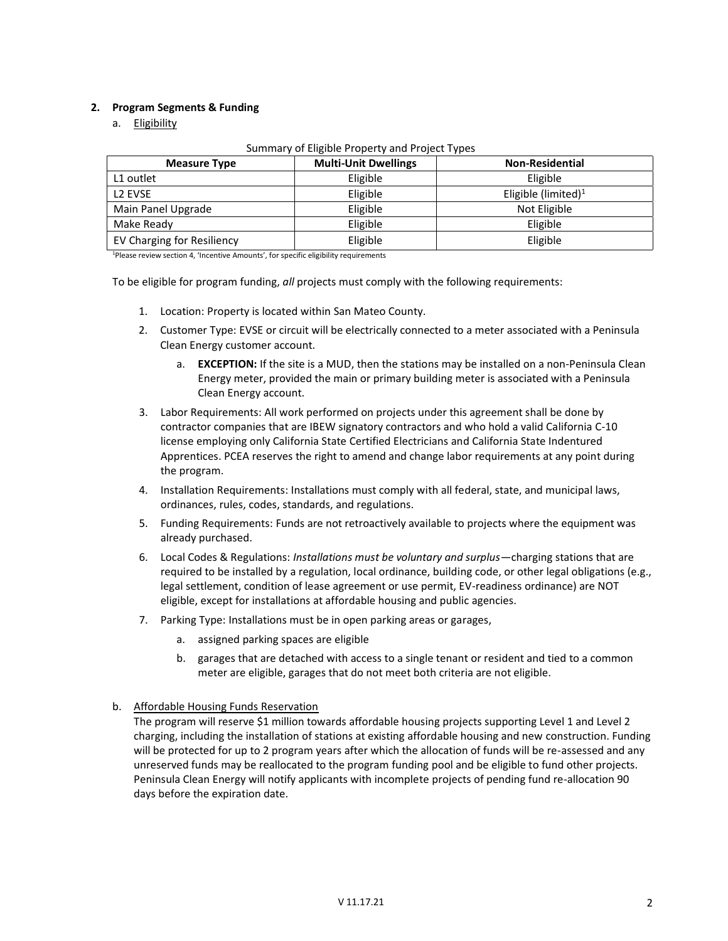## **2. Program Segments & Funding**

a. Eligibility

| <b>Measure Type</b>        | <b>Multi-Unit Dwellings</b> | <b>Non-Residential</b> |
|----------------------------|-----------------------------|------------------------|
| L1 outlet                  | Eligible                    | Eligible               |
| L <sub>2</sub> EVSE        | Eligible                    | Eligible (limited) $1$ |
| Main Panel Upgrade         | Eligible                    | Not Eligible           |
| Make Ready                 | Eligible                    | Eligible               |
| EV Charging for Resiliency | Eligible                    | Eligible               |

<sup>1</sup>Please review section 4, 'Incentive Amounts', for specific eligibility requirements

To be eligible for program funding, *all* projects must comply with the following requirements:

- 1. Location: Property is located within San Mateo County.
- 2. Customer Type: EVSE or circuit will be electrically connected to a meter associated with a Peninsula Clean Energy customer account.
	- a. **EXCEPTION:** If the site is a MUD, then the stations may be installed on a non-Peninsula Clean Energy meter, provided the main or primary building meter is associated with a Peninsula Clean Energy account.
- 3. Labor Requirements: All work performed on projects under this agreement shall be done by contractor companies that are IBEW signatory contractors and who hold a valid California C-10 license employing only California State Certified Electricians and California State Indentured Apprentices. PCEA reserves the right to amend and change labor requirements at any point during the program.
- 4. Installation Requirements: Installations must comply with all federal, state, and municipal laws, ordinances, rules, codes, standards, and regulations.
- 5. Funding Requirements: Funds are not retroactively available to projects where the equipment was already purchased.
- 6. Local Codes & Regulations: *Installations must be voluntary and surplus*—charging stations that are required to be installed by a regulation, local ordinance, building code, or other legal obligations (e.g., legal settlement, condition of lease agreement or use permit, EV-readiness ordinance) are NOT eligible, except for installations at affordable housing and public agencies.
- 7. Parking Type: Installations must be in open parking areas or garages,
	- a. assigned parking spaces are eligible
	- b. garages that are detached with access to a single tenant or resident and tied to a common meter are eligible, garages that do not meet both criteria are not eligible.
- b. Affordable Housing Funds Reservation
	- The program will reserve \$1 million towards affordable housing projects supporting Level 1 and Level 2 charging, including the installation of stations at existing affordable housing and new construction. Funding will be protected for up to 2 program years after which the allocation of funds will be re-assessed and any unreserved funds may be reallocated to the program funding pool and be eligible to fund other projects. Peninsula Clean Energy will notify applicants with incomplete projects of pending fund re-allocation 90 days before the expiration date.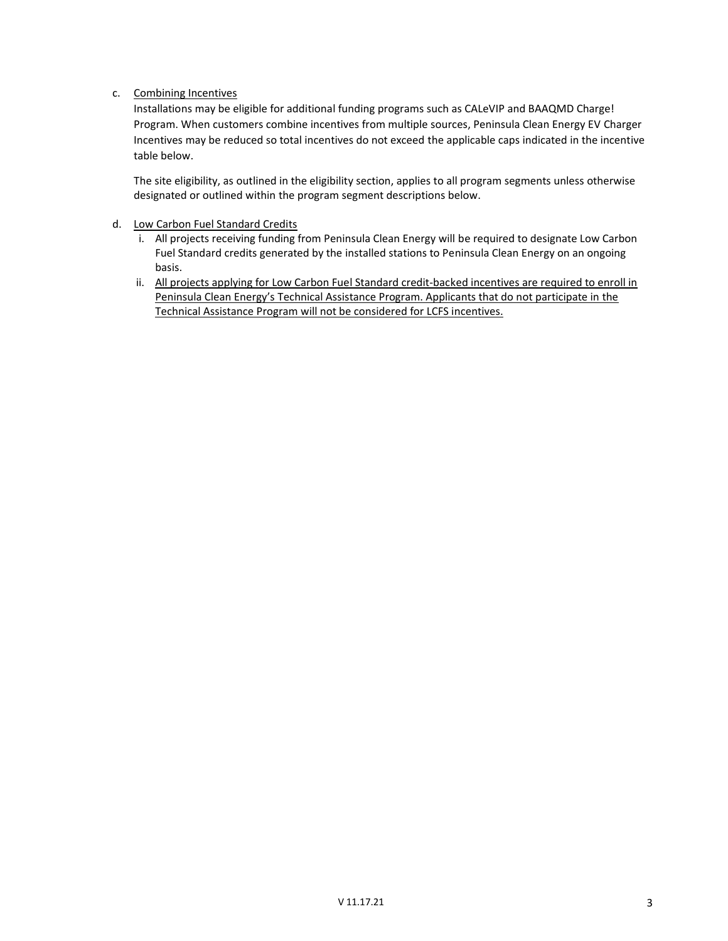## c. Combining Incentives

Installations may be eligible for additional funding programs such as CALeVIP and BAAQMD Charge! Program. When customers combine incentives from multiple sources, Peninsula Clean Energy EV Charger Incentives may be reduced so total incentives do not exceed the applicable caps indicated in the incentive table below.

The site eligibility, as outlined in the eligibility section, applies to all program segments unless otherwise designated or outlined within the program segment descriptions below.

- d. Low Carbon Fuel Standard Credits
	- i. All projects receiving funding from Peninsula Clean Energy will be required to designate Low Carbon Fuel Standard credits generated by the installed stations to Peninsula Clean Energy on an ongoing basis.
	- ii. All projects applying for Low Carbon Fuel Standard credit-backed incentives are required to enroll in Peninsula Clean Energy's Technical Assistance Program. Applicants that do not participate in the Technical Assistance Program will not be considered for LCFS incentives.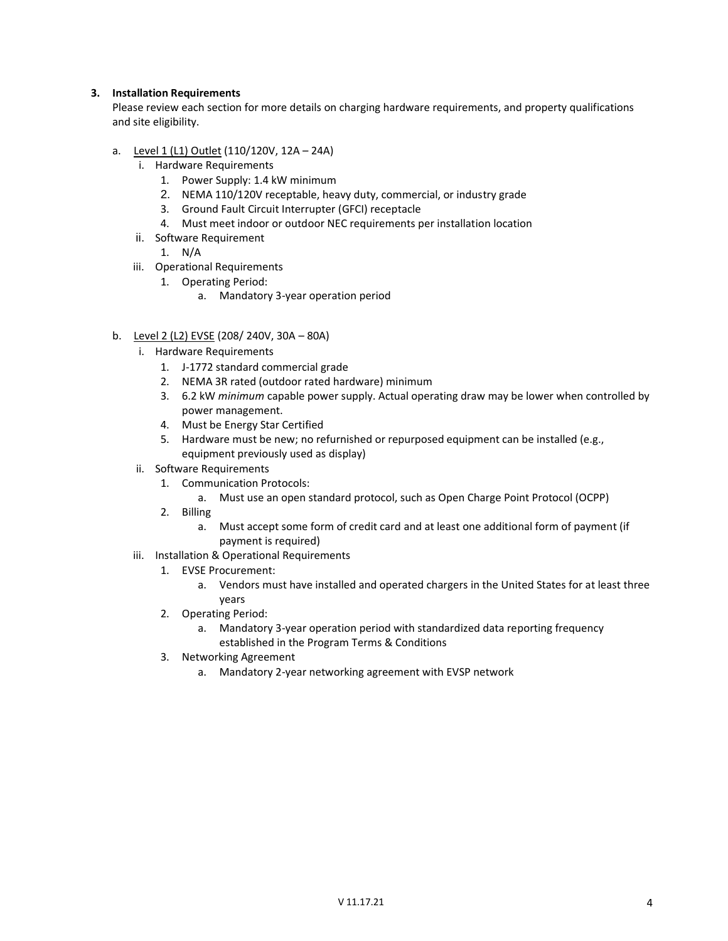#### **3. Installation Requirements**

Please review each section for more details on charging hardware requirements, and property qualifications and site eligibility.

- a. Level 1 (L1) Outlet (110/120V, 12A 24A)
	- i. Hardware Requirements
		- 1. Power Supply: 1.4 kW minimum
		- 2. NEMA 110/120V receptable, heavy duty, commercial, or industry grade
		- 3. Ground Fault Circuit Interrupter (GFCI) receptacle
		- 4. Must meet indoor or outdoor NEC requirements per installation location
	- ii. Software Requirement

1. N/A

- iii. Operational Requirements
	- 1. Operating Period:
		- a. Mandatory 3-year operation period
- b. Level 2 (L2) EVSE (208/ 240V, 30A 80A)
	- i. Hardware Requirements
		- 1. J-1772 standard commercial grade
		- 2. NEMA 3R rated (outdoor rated hardware) minimum
		- 3. 6.2 kW *minimum* capable power supply. Actual operating draw may be lower when controlled by power management.
		- 4. Must be Energy Star Certified
		- 5. Hardware must be new; no refurnished or repurposed equipment can be installed (e.g., equipment previously used as display)
	- ii. Software Requirements
		- 1. Communication Protocols:
			- a. Must use an open standard protocol, such as Open Charge Point Protocol (OCPP)
		- 2. Billing
			- a. Must accept some form of credit card and at least one additional form of payment (if payment is required)
	- iii. Installation & Operational Requirements
		- 1. EVSE Procurement:
			- a. Vendors must have installed and operated chargers in the United States for at least three years
		- 2. Operating Period:
			- a. Mandatory 3-year operation period with standardized data reporting frequency established in the Program Terms & Conditions
		- 3. Networking Agreement
			- a. Mandatory 2-year networking agreement with EVSP network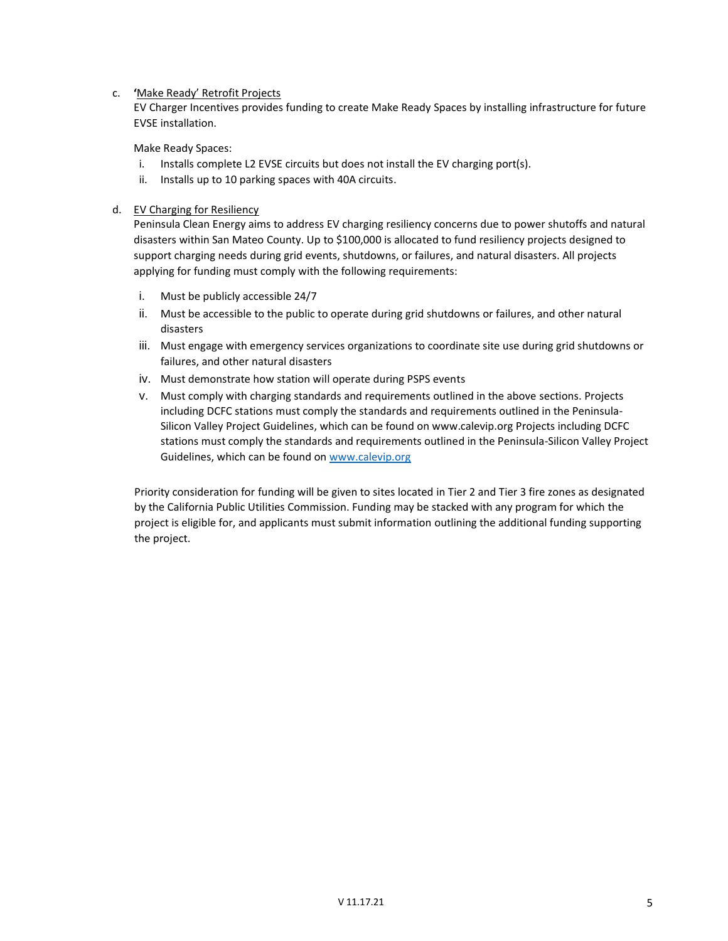#### c. **'**Make Ready' Retrofit Projects

EV Charger Incentives provides funding to create Make Ready Spaces by installing infrastructure for future EVSE installation.

Make Ready Spaces:

- i. Installs complete L2 EVSE circuits but does not install the EV charging port(s).
- ii. Installs up to 10 parking spaces with 40A circuits.

#### d. EV Charging for Resiliency

Peninsula Clean Energy aims to address EV charging resiliency concerns due to power shutoffs and natural disasters within San Mateo County. Up to \$100,000 is allocated to fund resiliency projects designed to support charging needs during grid events, shutdowns, or failures, and natural disasters. All projects applying for funding must comply with the following requirements:

- i. Must be publicly accessible 24/7
- ii. Must be accessible to the public to operate during grid shutdowns or failures, and other natural disasters
- iii. Must engage with emergency services organizations to coordinate site use during grid shutdowns or failures, and other natural disasters
- iv. Must demonstrate how station will operate during PSPS events
- v. Must comply with charging standards and requirements outlined in the above sections. Projects including DCFC stations must comply the standards and requirements outlined in the Peninsula-Silicon Valley Project Guidelines, which can be found on www.calevip.org Projects including DCFC stations must comply the standards and requirements outlined in the Peninsula-Silicon Valley Project Guidelines, which can be found on [www.calevip.org](http://www.calevip.org/)

Priority consideration for funding will be given to sites located in Tier 2 and Tier 3 fire zones as designated by the California Public Utilities Commission. Funding may be stacked with any program for which the project is eligible for, and applicants must submit information outlining the additional funding supporting the project.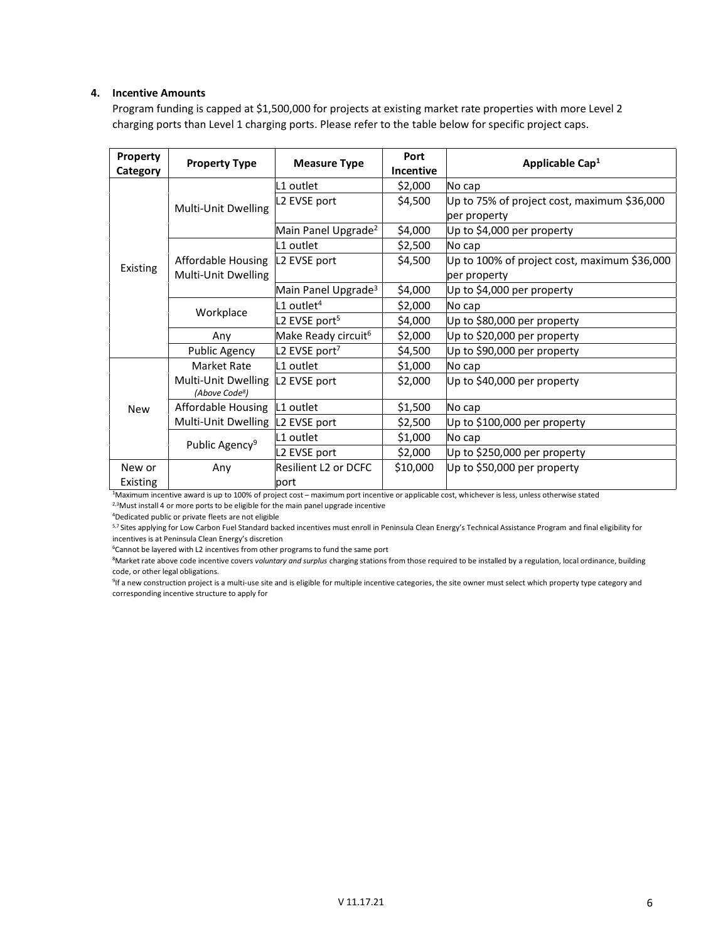#### **4. Incentive Amounts**

Program funding is capped at \$1,500,000 for projects at existing market rate properties with more Level 2 charging ports than Level 1 charging ports. Please refer to the table below for specific project caps.

| Property<br>Category | <b>Property Type</b>                                           | <b>Measure Type</b>             | Port<br><b>Incentive</b> | Applicable Cap <sup>1</sup>                  |
|----------------------|----------------------------------------------------------------|---------------------------------|--------------------------|----------------------------------------------|
| Existing             | Multi-Unit Dwelling                                            | L1 outlet                       | \$2,000                  | No cap                                       |
|                      |                                                                | L2 EVSE port                    | \$4,500                  | Up to 75% of project cost, maximum \$36,000  |
|                      |                                                                |                                 |                          | per property                                 |
|                      |                                                                | Main Panel Upgrade <sup>2</sup> | \$4,000                  | Up to \$4,000 per property                   |
|                      | Affordable Housing<br>Multi-Unit Dwelling                      | L1 outlet                       | \$2,500                  | No cap                                       |
|                      |                                                                | L2 EVSE port                    | \$4,500                  | Up to 100% of project cost, maximum \$36,000 |
|                      |                                                                |                                 |                          | per property                                 |
|                      |                                                                | Main Panel Upgrade <sup>3</sup> | \$4,000                  | Up to \$4,000 per property                   |
|                      | Workplace                                                      | $L1$ outlet <sup>4</sup>        | \$2,000                  | No cap                                       |
|                      |                                                                | L2 EVSE port <sup>5</sup>       | \$4,000                  | Up to \$80,000 per property                  |
|                      | Any                                                            | Make Ready circuit <sup>6</sup> | \$2,000                  | Up to \$20,000 per property                  |
|                      | <b>Public Agency</b>                                           | L2 EVSE port <sup>7</sup>       | \$4,500                  | Up to \$90,000 per property                  |
| <b>New</b>           | <b>Market Rate</b>                                             | L1 outlet                       | \$1,000                  | No cap                                       |
|                      | Multi-Unit Dwelling L2 EVSE port<br>(Above Code <sup>8</sup> ) |                                 | \$2,000                  | Up to \$40,000 per property                  |
|                      | Affordable Housing                                             | L1 outlet                       | \$1,500                  | No cap                                       |
|                      | Multi-Unit Dwelling L2 EVSE port                               |                                 | \$2,500                  | Up to \$100,000 per property                 |
|                      | Public Agency <sup>9</sup>                                     | L1 outlet                       | \$1,000                  | No cap                                       |
|                      |                                                                | L2 EVSE port                    | \$2,000                  | Up to \$250,000 per property                 |
| New or               | Any                                                            | <b>Resilient L2 or DCFC</b>     | \$10,000                 | Up to \$50,000 per property                  |
| Existing             |                                                                | port                            |                          |                                              |

<sup>1</sup>Maximum incentive award is up to 100% of project cost – maximum port incentive or applicable cost, whichever is less, unless otherwise stated

<sup>2,3</sup>Must install 4 or more ports to be eligible for the main panel upgrade incentive

<sup>4</sup>Dedicated public or private fleets are not eligible

5,7 Sites applying for Low Carbon Fuel Standard backed incentives must enroll in Peninsula Clean Energy's Technical Assistance Program and final eligibility for incentives is at Peninsula Clean Energy's discretion

<sup>6</sup>Cannot be layered with L2 incentives from other programs to fund the same port

<sup>8</sup>Market rate above code incentive covers *voluntary and surplus* charging stations from those required to be installed by a regulation, local ordinance, building code, or other legal obligations.

<sup>9</sup>If a new construction project is a multi-use site and is eligible for multiple incentive categories, the site owner must select which property type category and corresponding incentive structure to apply for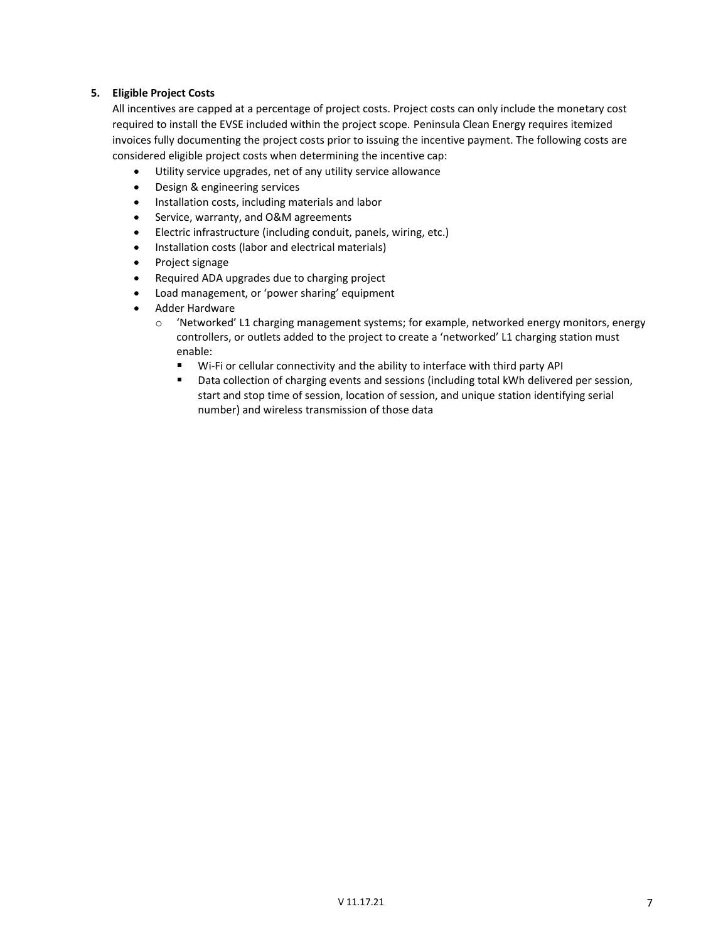## **5. Eligible Project Costs**

All incentives are capped at a percentage of project costs. Project costs can only include the monetary cost required to install the EVSE included within the project scope. Peninsula Clean Energy requires itemized invoices fully documenting the project costs prior to issuing the incentive payment. The following costs are considered eligible project costs when determining the incentive cap:

- Utility service upgrades, net of any utility service allowance
- Design & engineering services
- Installation costs, including materials and labor
- Service, warranty, and O&M agreements
- Electric infrastructure (including conduit, panels, wiring, etc.)
- Installation costs (labor and electrical materials)
- Project signage
- Required ADA upgrades due to charging project
- Load management, or 'power sharing' equipment
- Adder Hardware
	- $\circ$  'Networked' L1 charging management systems; for example, networked energy monitors, energy controllers, or outlets added to the project to create a 'networked' L1 charging station must enable:
		- $\blacksquare$ Wi-Fi or cellular connectivity and the ability to interface with third party API
		- **Data collection of charging events and sessions (including total kWh delivered per session,** start and stop time of session, location of session, and unique station identifying serial number) and wireless transmission of those data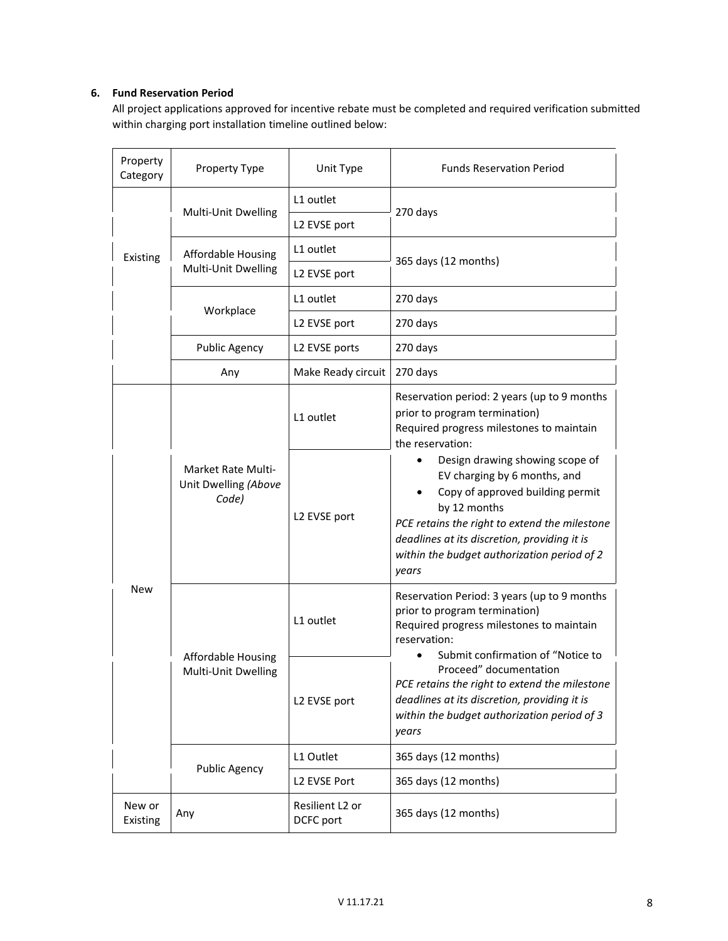# **6. Fund Reservation Period**

All project applications approved for incentive rebate must be completed and required verification submitted within charging port installation timeline outlined below:

| Property<br>Category | Property Type                                       | Unit Type                    | <b>Funds Reservation Period</b>                                                                                                                                                                                                                                                                                                                                  |  |
|----------------------|-----------------------------------------------------|------------------------------|------------------------------------------------------------------------------------------------------------------------------------------------------------------------------------------------------------------------------------------------------------------------------------------------------------------------------------------------------------------|--|
| Existing             | Multi-Unit Dwelling                                 | L1 outlet                    | 270 days                                                                                                                                                                                                                                                                                                                                                         |  |
|                      |                                                     | L2 EVSE port                 |                                                                                                                                                                                                                                                                                                                                                                  |  |
|                      | Affordable Housing<br>Multi-Unit Dwelling           | L1 outlet                    | 365 days (12 months)                                                                                                                                                                                                                                                                                                                                             |  |
|                      |                                                     | L2 EVSE port                 |                                                                                                                                                                                                                                                                                                                                                                  |  |
|                      | Workplace                                           | L1 outlet                    | 270 days                                                                                                                                                                                                                                                                                                                                                         |  |
|                      |                                                     | L2 EVSE port                 | 270 days                                                                                                                                                                                                                                                                                                                                                         |  |
|                      | <b>Public Agency</b>                                | L2 EVSE ports                | 270 days                                                                                                                                                                                                                                                                                                                                                         |  |
|                      | Any                                                 | Make Ready circuit           | 270 days                                                                                                                                                                                                                                                                                                                                                         |  |
| <b>New</b>           | Market Rate Multi-<br>Unit Dwelling (Above<br>Code) | L1 outlet                    | Reservation period: 2 years (up to 9 months<br>prior to program termination)<br>Required progress milestones to maintain<br>the reservation:                                                                                                                                                                                                                     |  |
|                      |                                                     | L2 EVSE port                 | Design drawing showing scope of<br>EV charging by 6 months, and<br>Copy of approved building permit<br>by 12 months<br>PCE retains the right to extend the milestone<br>deadlines at its discretion, providing it is<br>within the budget authorization period of 2<br>years                                                                                     |  |
|                      | <b>Affordable Housing</b><br>Multi-Unit Dwelling    | L1 outlet                    | Reservation Period: 3 years (up to 9 months<br>prior to program termination)<br>Required progress milestones to maintain<br>reservation:<br>Submit confirmation of "Notice to<br>Proceed" documentation<br>PCE retains the right to extend the milestone<br>deadlines at its discretion, providing it is<br>within the budget authorization period of 3<br>years |  |
|                      |                                                     | L2 EVSE port                 |                                                                                                                                                                                                                                                                                                                                                                  |  |
|                      | <b>Public Agency</b>                                | L1 Outlet                    | 365 days (12 months)                                                                                                                                                                                                                                                                                                                                             |  |
|                      |                                                     | L2 EVSE Port                 | 365 days (12 months)                                                                                                                                                                                                                                                                                                                                             |  |
| New or<br>Existing   | Any                                                 | Resilient L2 or<br>DCFC port | 365 days (12 months)                                                                                                                                                                                                                                                                                                                                             |  |